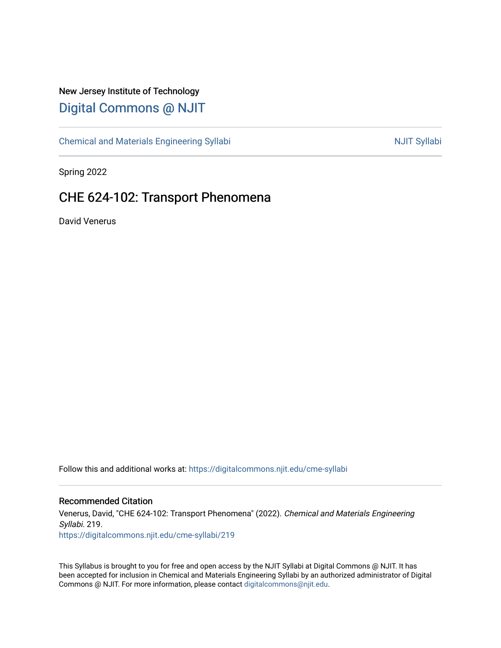## New Jersey Institute of Technology [Digital Commons @ NJIT](https://digitalcommons.njit.edu/)

[Chemical and Materials Engineering Syllabi](https://digitalcommons.njit.edu/cme-syllabi) Nulle and Syllabi Nulle Syllabi Nulle Syllabi Nulle Syllabi Nulle Syllabi

Spring 2022

# CHE 624-102: Transport Phenomena

David Venerus

Follow this and additional works at: [https://digitalcommons.njit.edu/cme-syllabi](https://digitalcommons.njit.edu/cme-syllabi?utm_source=digitalcommons.njit.edu%2Fcme-syllabi%2F219&utm_medium=PDF&utm_campaign=PDFCoverPages) 

#### Recommended Citation

Venerus, David, "CHE 624-102: Transport Phenomena" (2022). Chemical and Materials Engineering Syllabi. 219. [https://digitalcommons.njit.edu/cme-syllabi/219](https://digitalcommons.njit.edu/cme-syllabi/219?utm_source=digitalcommons.njit.edu%2Fcme-syllabi%2F219&utm_medium=PDF&utm_campaign=PDFCoverPages) 

This Syllabus is brought to you for free and open access by the NJIT Syllabi at Digital Commons @ NJIT. It has been accepted for inclusion in Chemical and Materials Engineering Syllabi by an authorized administrator of Digital Commons @ NJIT. For more information, please contact [digitalcommons@njit.edu.](mailto:digitalcommons@njit.edu)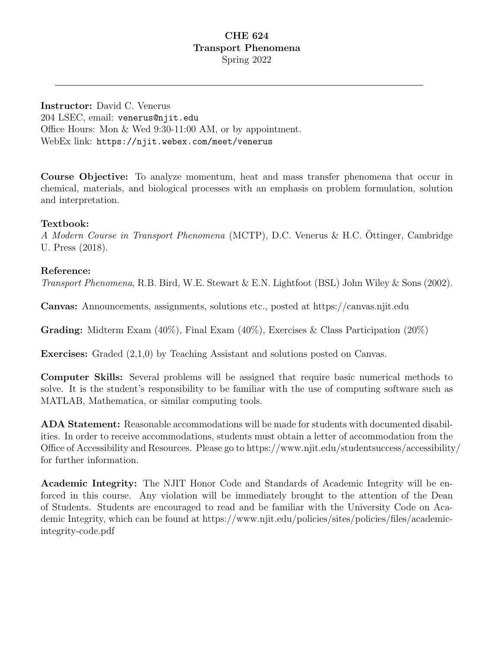## CHE 624 Transport Phenomena Spring 2022

Instructor: David C. Venerus 204 LSEC, email: venerus@njit.edu Office Hours: Mon & Wed 9:30-11:00 AM, or by appointment. WebEx link: https://njit.webex.com/meet/venerus

Course Objective: To analyze momentum, heat and mass transfer phenomena that occur in chemical, materials, and biological processes with an emphasis on problem formulation, solution and interpretation.

#### Textbook:

A Modern Course in Transport Phenomena (MCTP), D.C. Venerus & H.C. Öttinger, Cambridge U. Press (2018).

#### Reference:

Transport Phenomena, R.B. Bird, W.E. Stewart & E.N. Lightfoot (BSL) John Wiley & Sons (2002).

Canvas: Announcements, assignments, solutions etc., posted at https://canvas.njit.edu

**Grading:** Midterm Exam  $(40\%)$ , Final Exam  $(40\%)$ , Exercises & Class Participation  $(20\%)$ 

Exercises: Graded (2,1,0) by Teaching Assistant and solutions posted on Canvas.

Computer Skills: Several problems will be assigned that require basic numerical methods to solve. It is the student's responsibility to be familiar with the use of computing software such as MATLAB, Mathematica, or similar computing tools.

ADA Statement: Reasonable accommodations will be made for students with documented disabilities. In order to receive accommodations, students must obtain a letter of accommodation from the Office of Accessibility and Resources. Please go to https://www.njit.edu/studentsuccess/accessibility/ for further information.

Academic Integrity: The NJIT Honor Code and Standards of Academic Integrity will be enforced in this course. Any violation will be immediately brought to the attention of the Dean of Students. Students are encouraged to read and be familiar with the University Code on Academic Integrity, which can be found at https://www.njit.edu/policies/sites/policies/files/academicintegrity-code.pdf